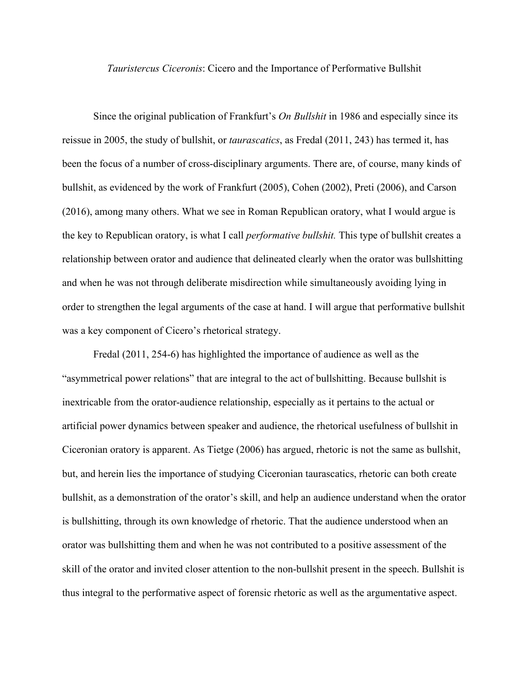*Tauristercus Ciceronis*: Cicero and the Importance of Performative Bullshit

Since the original publication of Frankfurt's *On Bullshit* in 1986 and especially since its reissue in 2005, the study of bullshit, or *taurascatics*, as Fredal (2011, 243) has termed it, has been the focus of a number of cross-disciplinary arguments. There are, of course, many kinds of bullshit, as evidenced by the work of Frankfurt (2005), Cohen (2002), Preti (2006), and Carson (2016), among many others. What we see in Roman Republican oratory, what I would argue is the key to Republican oratory, is what I call *performative bullshit.* This type of bullshit creates a relationship between orator and audience that delineated clearly when the orator was bullshitting and when he was not through deliberate misdirection while simultaneously avoiding lying in order to strengthen the legal arguments of the case at hand. I will argue that performative bullshit was a key component of Cicero's rhetorical strategy.

 Fredal (2011, 254-6) has highlighted the importance of audience as well as the "asymmetrical power relations" that are integral to the act of bullshitting. Because bullshit is inextricable from the orator-audience relationship, especially as it pertains to the actual or artificial power dynamics between speaker and audience, the rhetorical usefulness of bullshit in Ciceronian oratory is apparent. As Tietge (2006) has argued, rhetoric is not the same as bullshit, but, and herein lies the importance of studying Ciceronian taurascatics, rhetoric can both create bullshit, as a demonstration of the orator's skill, and help an audience understand when the orator is bullshitting, through its own knowledge of rhetoric. That the audience understood when an orator was bullshitting them and when he was not contributed to a positive assessment of the skill of the orator and invited closer attention to the non-bullshit present in the speech. Bullshit is thus integral to the performative aspect of forensic rhetoric as well as the argumentative aspect.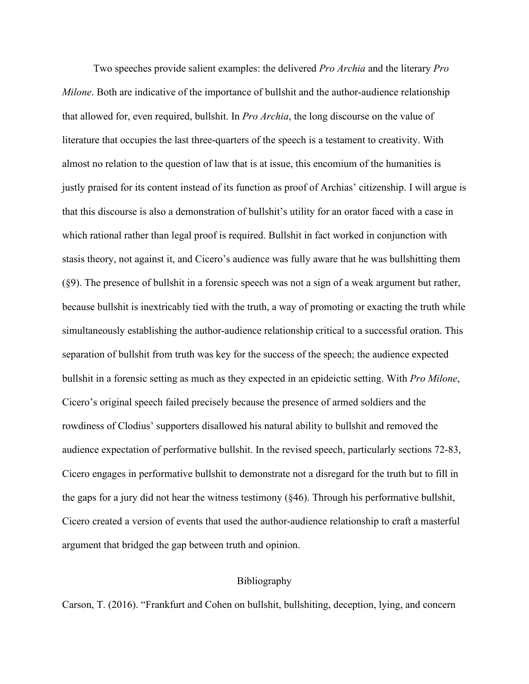Two speeches provide salient examples: the delivered *Pro Archia* and the literary *Pro Milone*. Both are indicative of the importance of bullshit and the author-audience relationship that allowed for, even required, bullshit. In *Pro Archia*, the long discourse on the value of literature that occupies the last three-quarters of the speech is a testament to creativity. With almost no relation to the question of law that is at issue, this encomium of the humanities is justly praised for its content instead of its function as proof of Archias' citizenship. I will argue is that this discourse is also a demonstration of bullshit's utility for an orator faced with a case in which rational rather than legal proof is required. Bullshit in fact worked in conjunction with stasis theory, not against it, and Cicero's audience was fully aware that he was bullshitting them (§9). The presence of bullshit in a forensic speech was not a sign of a weak argument but rather, because bullshit is inextricably tied with the truth, a way of promoting or exacting the truth while simultaneously establishing the author-audience relationship critical to a successful oration. This separation of bullshit from truth was key for the success of the speech; the audience expected bullshit in a forensic setting as much as they expected in an epideictic setting. With *Pro Milone*, Cicero's original speech failed precisely because the presence of armed soldiers and the rowdiness of Clodius' supporters disallowed his natural ability to bullshit and removed the audience expectation of performative bullshit. In the revised speech, particularly sections 72-83, Cicero engages in performative bullshit to demonstrate not a disregard for the truth but to fill in the gaps for a jury did not hear the witness testimony (§46). Through his performative bullshit, Cicero created a version of events that used the author-audience relationship to craft a masterful argument that bridged the gap between truth and opinion.

## Bibliography

Carson, T. (2016). "Frankfurt and Cohen on bullshit, bullshiting, deception, lying, and concern